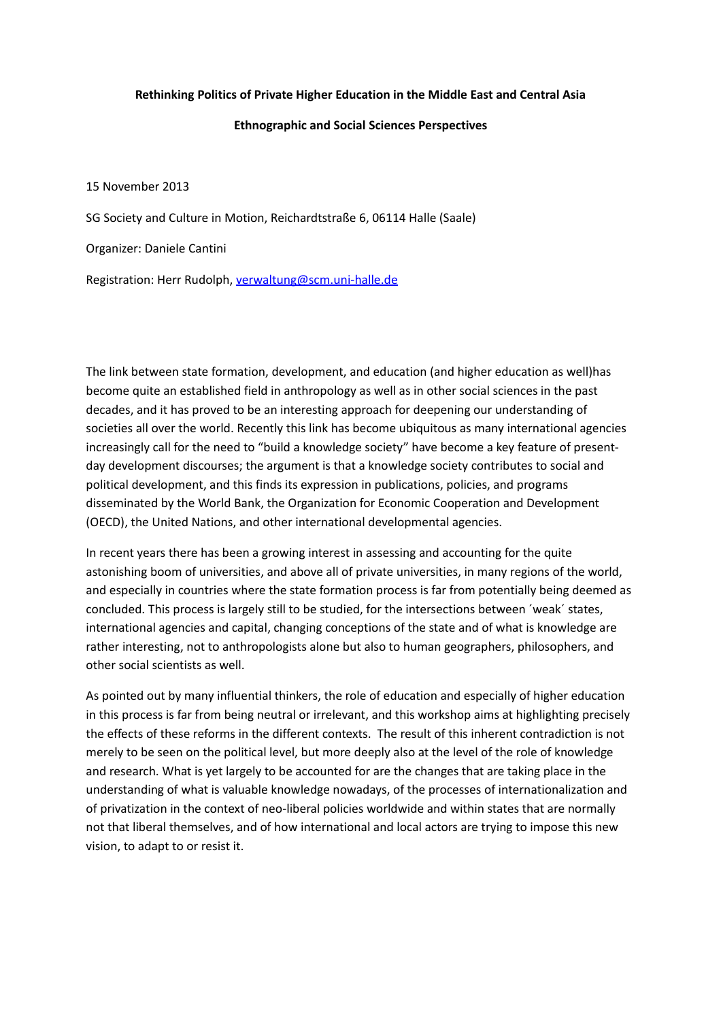#### **Rethinking Politics of Private Higher Education in the Middle East and Central Asia**

#### **Ethnographic and Social Sciences Perspectives**

15 November 2013

SG Society and Culture in Motion, Reichardtstraße 6, 06114 Halle (Saale)

Organizer: Daniele Cantini

Registration: Herr Rudolph, [verwaltung@scm.uni-halle.de](mailto:verwaltung@scm.uni-halle.de)

The link between state formation, development, and education (and higher education as well)has become quite an established field in anthropology as well as in other social sciences in the past decades, and it has proved to be an interesting approach for deepening our understanding of societies all over the world. Recently this link has become ubiquitous as many international agencies increasingly call for the need to "build a knowledge society" have become a key feature of presentday development discourses; the argument is that a knowledge society contributes to social and political development, and this finds its expression in publications, policies, and programs disseminated by the World Bank, the Organization for Economic Cooperation and Development (OECD), the United Nations, and other international developmental agencies.

In recent years there has been a growing interest in assessing and accounting for the quite astonishing boom of universities, and above all of private universities, in many regions of the world, and especially in countries where the state formation process is far from potentially being deemed as concluded. This process is largely still to be studied, for the intersections between ´weak´ states, international agencies and capital, changing conceptions of the state and of what is knowledge are rather interesting, not to anthropologists alone but also to human geographers, philosophers, and other social scientists as well.

As pointed out by many influential thinkers, the role of education and especially of higher education in this process is far from being neutral or irrelevant, and this workshop aims at highlighting precisely the effects of these reforms in the different contexts. The result of this inherent contradiction is not merely to be seen on the political level, but more deeply also at the level of the role of knowledge and research. What is yet largely to be accounted for are the changes that are taking place in the understanding of what is valuable knowledge nowadays, of the processes of internationalization and of privatization in the context of neo-liberal policies worldwide and within states that are normally not that liberal themselves, and of how international and local actors are trying to impose this new vision, to adapt to or resist it.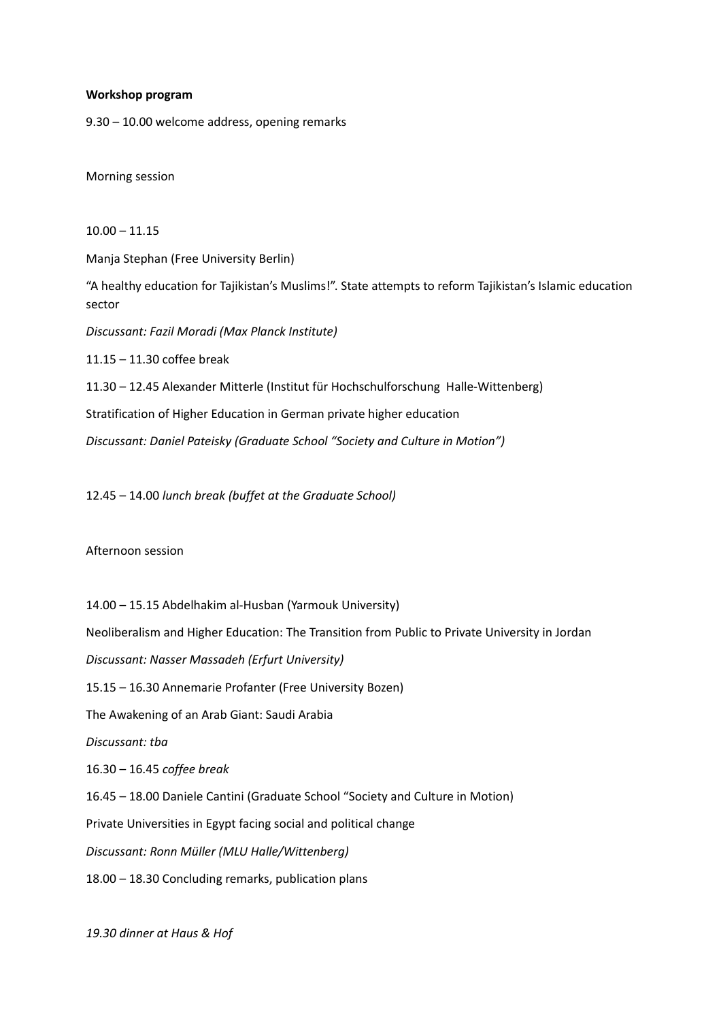#### **Workshop program**

9.30 – 10.00 welcome address, opening remarks

Morning session

 $10.00 - 11.15$ Manja Stephan (Free University Berlin) "A healthy education for Tajikistan's Muslims!". State attempts to reform Tajikistan's Islamic education sector *Discussant: Fazil Moradi (Max Planck Institute)*  11.15 – 11.30 coffee break 11.30 – 12.45 Alexander Mitterle (Institut für Hochschulforschung Halle-Wittenberg) Stratification of Higher Education in German private higher education *Discussant: Daniel Pateisky (Graduate School "Society and Culture in Motion")*

12.45 – 14.00 *lunch break (buffet at the Graduate School)*

Afternoon session

14.00 – 15.15 Abdelhakim al-Husban (Yarmouk University) Neoliberalism and Higher Education: The Transition from Public to Private University in Jordan *Discussant: Nasser Massadeh (Erfurt University)* 15.15 – 16.30 Annemarie Profanter (Free University Bozen) The Awakening of an Arab Giant: Saudi Arabia *Discussant: tba* 16.30 – 16.45 *coffee break* 16.45 – 18.00 Daniele Cantini (Graduate School "Society and Culture in Motion) Private Universities in Egypt facing social and political change *Discussant: Ronn Müller (MLU Halle/Wittenberg)* 18.00 – 18.30 Concluding remarks, publication plans

*19.30 dinner at Haus & Hof*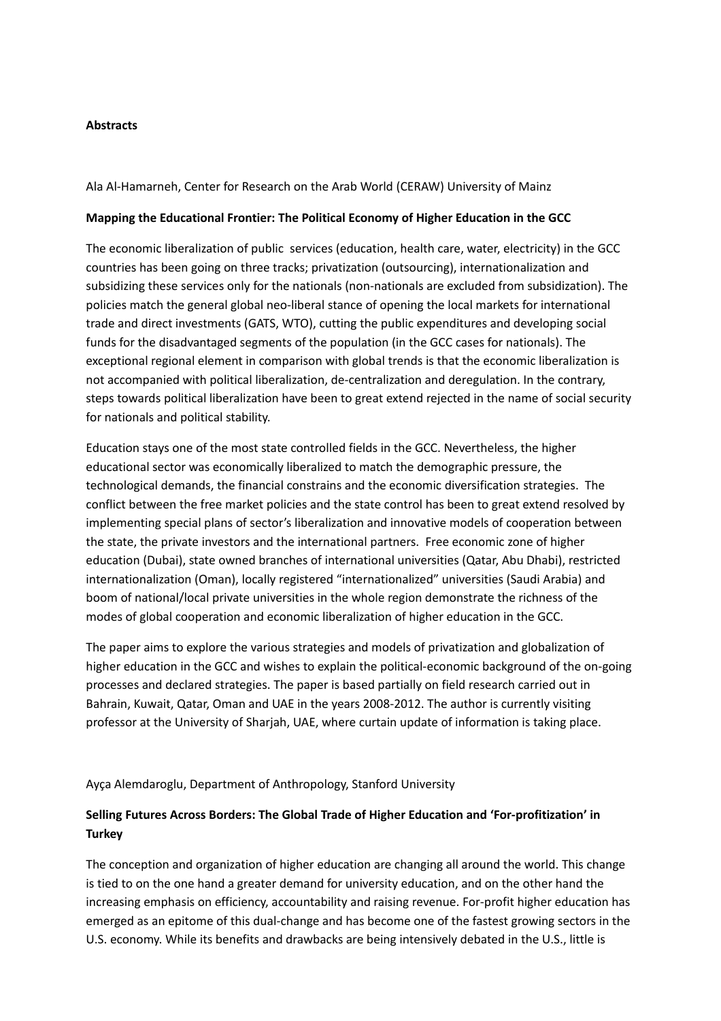# **Abstracts**

Ala Al-Hamarneh, Center for Research on the Arab World (CERAW) University of Mainz

### **Mapping the Educational Frontier: The Political Economy of Higher Education in the GCC**

The economic liberalization of public services (education, health care, water, electricity) in the GCC countries has been going on three tracks; privatization (outsourcing), internationalization and subsidizing these services only for the nationals (non-nationals are excluded from subsidization). The policies match the general global neo-liberal stance of opening the local markets for international trade and direct investments (GATS, WTO), cutting the public expenditures and developing social funds for the disadvantaged segments of the population (in the GCC cases for nationals). The exceptional regional element in comparison with global trends is that the economic liberalization is not accompanied with political liberalization, de-centralization and deregulation. In the contrary, steps towards political liberalization have been to great extend rejected in the name of social security for nationals and political stability.

Education stays one of the most state controlled fields in the GCC. Nevertheless, the higher educational sector was economically liberalized to match the demographic pressure, the technological demands, the financial constrains and the economic diversification strategies. The conflict between the free market policies and the state control has been to great extend resolved by implementing special plans of sector's liberalization and innovative models of cooperation between the state, the private investors and the international partners. Free economic zone of higher education (Dubai), state owned branches of international universities (Qatar, Abu Dhabi), restricted internationalization (Oman), locally registered "internationalized" universities (Saudi Arabia) and boom of national/local private universities in the whole region demonstrate the richness of the modes of global cooperation and economic liberalization of higher education in the GCC.

The paper aims to explore the various strategies and models of privatization and globalization of higher education in the GCC and wishes to explain the political-economic background of the on-going processes and declared strategies. The paper is based partially on field research carried out in Bahrain, Kuwait, Qatar, Oman and UAE in the years 2008-2012. The author is currently visiting professor at the University of Sharjah, UAE, where curtain update of information is taking place.

Ayça Alemdaroglu, Department of Anthropology, Stanford University

# **Selling Futures Across Borders: The Global Trade of Higher Education and 'For-profitization' in Turkey**

The conception and organization of higher education are changing all around the world. This change is tied to on the one hand a greater demand for university education, and on the other hand the increasing emphasis on efficiency, accountability and raising revenue. For-profit higher education has emerged as an epitome of this dual-change and has become one of the fastest growing sectors in the U.S. economy. While its benefits and drawbacks are being intensively debated in the U.S., little is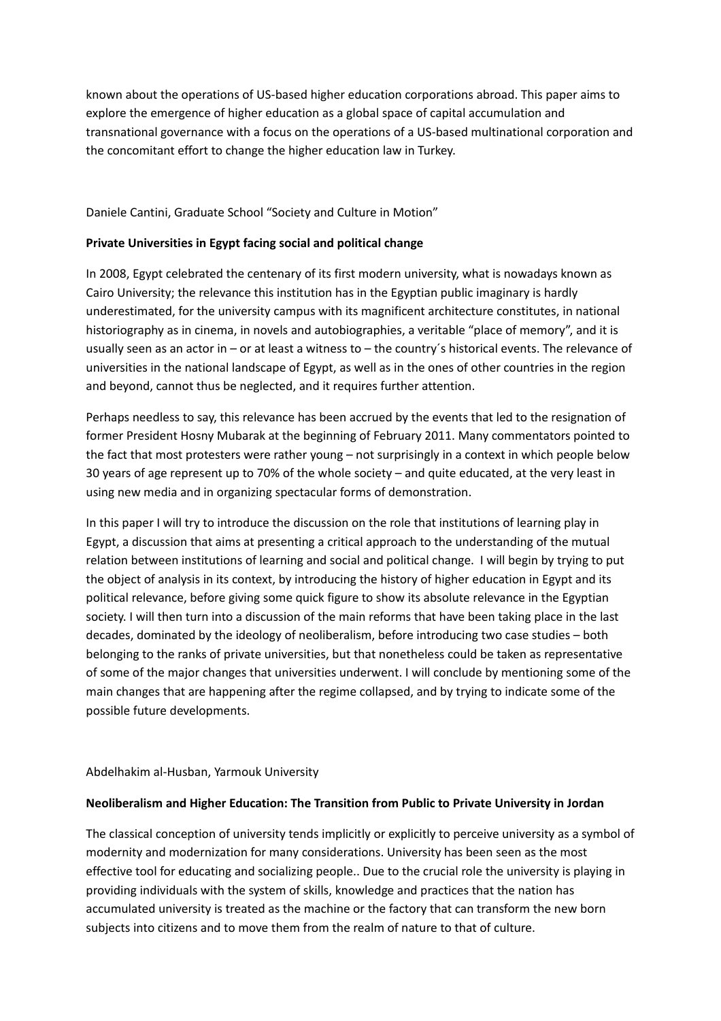known about the operations of US-based higher education corporations abroad. This paper aims to explore the emergence of higher education as a global space of capital accumulation and transnational governance with a focus on the operations of a US-based multinational corporation and the concomitant effort to change the higher education law in Turkey.

Daniele Cantini, Graduate School "Society and Culture in Motion"

# **Private Universities in Egypt facing social and political change**

In 2008, Egypt celebrated the centenary of its first modern university, what is nowadays known as Cairo University; the relevance this institution has in the Egyptian public imaginary is hardly underestimated, for the university campus with its magnificent architecture constitutes, in national historiography as in cinema, in novels and autobiographies, a veritable "place of memory", and it is usually seen as an actor in – or at least a witness to – the country´s historical events. The relevance of universities in the national landscape of Egypt, as well as in the ones of other countries in the region and beyond, cannot thus be neglected, and it requires further attention.

Perhaps needless to say, this relevance has been accrued by the events that led to the resignation of former President Hosny Mubarak at the beginning of February 2011. Many commentators pointed to the fact that most protesters were rather young – not surprisingly in a context in which people below 30 years of age represent up to 70% of the whole society – and quite educated, at the very least in using new media and in organizing spectacular forms of demonstration.

In this paper I will try to introduce the discussion on the role that institutions of learning play in Egypt, a discussion that aims at presenting a critical approach to the understanding of the mutual relation between institutions of learning and social and political change. I will begin by trying to put the object of analysis in its context, by introducing the history of higher education in Egypt and its political relevance, before giving some quick figure to show its absolute relevance in the Egyptian society. I will then turn into a discussion of the main reforms that have been taking place in the last decades, dominated by the ideology of neoliberalism, before introducing two case studies – both belonging to the ranks of private universities, but that nonetheless could be taken as representative of some of the major changes that universities underwent. I will conclude by mentioning some of the main changes that are happening after the regime collapsed, and by trying to indicate some of the possible future developments.

### Abdelhakim al-Husban, Yarmouk University

### **Neoliberalism and Higher Education: The Transition from Public to Private University in Jordan**

The classical conception of university tends implicitly or explicitly to perceive university as a symbol of modernity and modernization for many considerations. University has been seen as the most effective tool for educating and socializing people.. Due to the crucial role the university is playing in providing individuals with the system of skills, knowledge and practices that the nation has accumulated university is treated as the machine or the factory that can transform the new born subjects into citizens and to move them from the realm of nature to that of culture.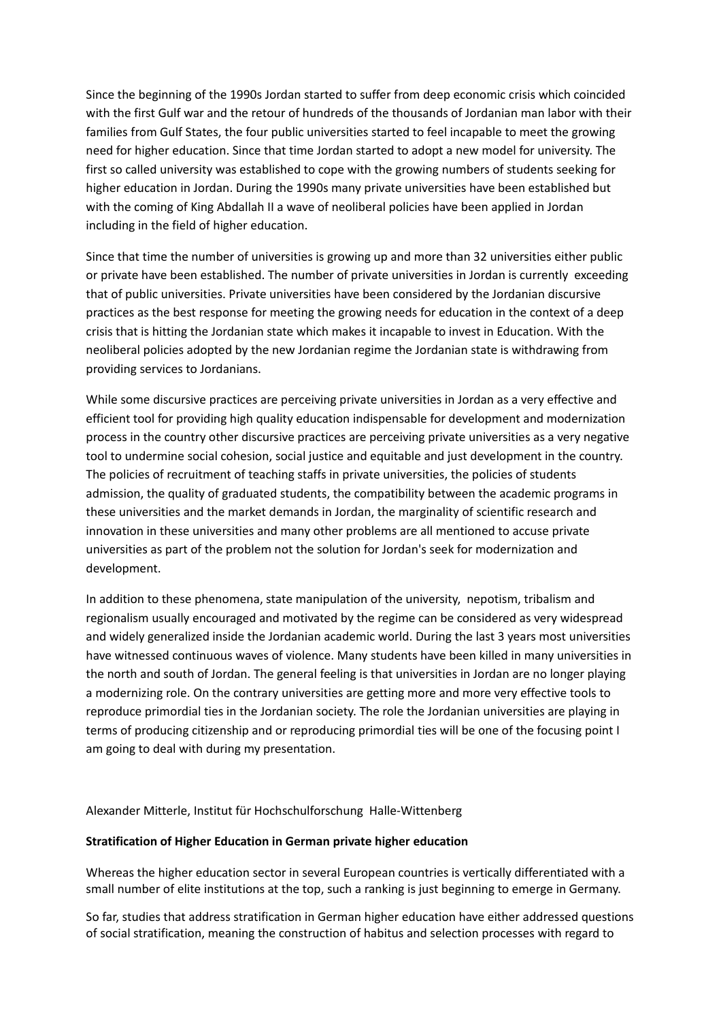Since the beginning of the 1990s Jordan started to suffer from deep economic crisis which coincided with the first Gulf war and the retour of hundreds of the thousands of Jordanian man labor with their families from Gulf States, the four public universities started to feel incapable to meet the growing need for higher education. Since that time Jordan started to adopt a new model for university. The first so called university was established to cope with the growing numbers of students seeking for higher education in Jordan. During the 1990s many private universities have been established but with the coming of King Abdallah II a wave of neoliberal policies have been applied in Jordan including in the field of higher education.

Since that time the number of universities is growing up and more than 32 universities either public or private have been established. The number of private universities in Jordan is currently exceeding that of public universities. Private universities have been considered by the Jordanian discursive practices as the best response for meeting the growing needs for education in the context of a deep crisis that is hitting the Jordanian state which makes it incapable to invest in Education. With the neoliberal policies adopted by the new Jordanian regime the Jordanian state is withdrawing from providing services to Jordanians.

While some discursive practices are perceiving private universities in Jordan as a very effective and efficient tool for providing high quality education indispensable for development and modernization process in the country other discursive practices are perceiving private universities as a very negative tool to undermine social cohesion, social justice and equitable and just development in the country. The policies of recruitment of teaching staffs in private universities, the policies of students admission, the quality of graduated students, the compatibility between the academic programs in these universities and the market demands in Jordan, the marginality of scientific research and innovation in these universities and many other problems are all mentioned to accuse private universities as part of the problem not the solution for Jordan's seek for modernization and development.

In addition to these phenomena, state manipulation of the university, nepotism, tribalism and regionalism usually encouraged and motivated by the regime can be considered as very widespread and widely generalized inside the Jordanian academic world. During the last 3 years most universities have witnessed continuous waves of violence. Many students have been killed in many universities in the north and south of Jordan. The general feeling is that universities in Jordan are no longer playing a modernizing role. On the contrary universities are getting more and more very effective tools to reproduce primordial ties in the Jordanian society. The role the Jordanian universities are playing in terms of producing citizenship and or reproducing primordial ties will be one of the focusing point I am going to deal with during my presentation.

Alexander Mitterle, Institut für Hochschulforschung Halle-Wittenberg

#### **Stratification of Higher Education in German private higher education**

Whereas the higher education sector in several European countries is vertically differentiated with a small number of elite institutions at the top, such a ranking is just beginning to emerge in Germany.

So far, studies that address stratification in German higher education have either addressed questions of social stratification, meaning the construction of habitus and selection processes with regard to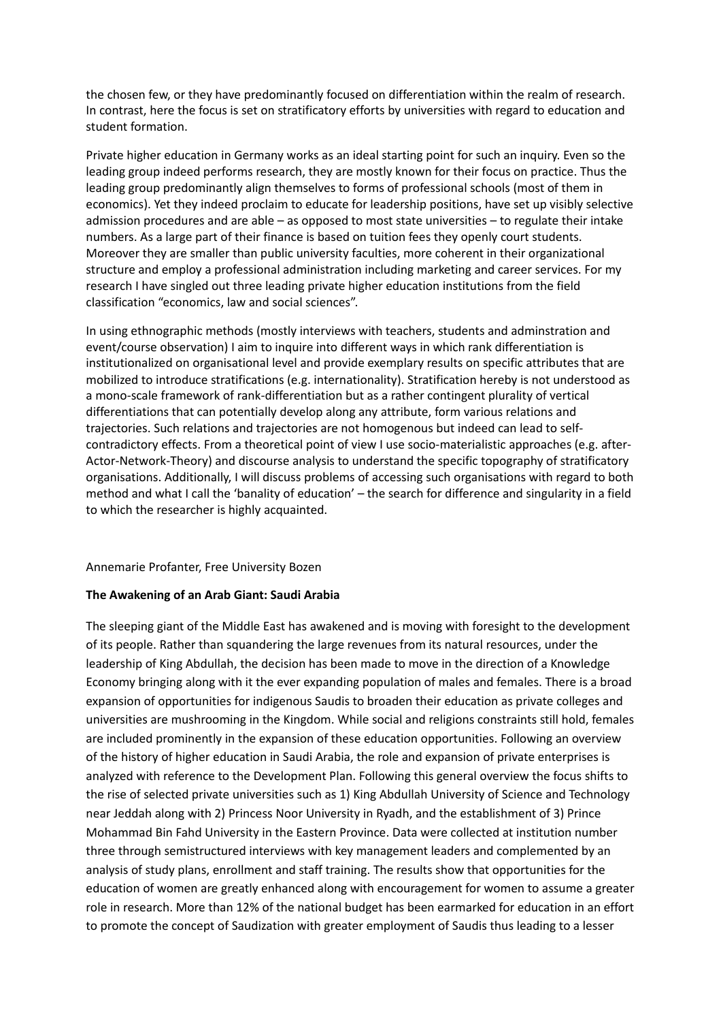the chosen few, or they have predominantly focused on differentiation within the realm of research. In contrast, here the focus is set on stratificatory efforts by universities with regard to education and student formation.

Private higher education in Germany works as an ideal starting point for such an inquiry. Even so the leading group indeed performs research, they are mostly known for their focus on practice. Thus the leading group predominantly align themselves to forms of professional schools (most of them in economics). Yet they indeed proclaim to educate for leadership positions, have set up visibly selective admission procedures and are able – as opposed to most state universities – to regulate their intake numbers. As a large part of their finance is based on tuition fees they openly court students. Moreover they are smaller than public university faculties, more coherent in their organizational structure and employ a professional administration including marketing and career services. For my research I have singled out three leading private higher education institutions from the field classification "economics, law and social sciences".

In using ethnographic methods (mostly interviews with teachers, students and adminstration and event/course observation) I aim to inquire into different ways in which rank differentiation is institutionalized on organisational level and provide exemplary results on specific attributes that are mobilized to introduce stratifications (e.g. internationality). Stratification hereby is not understood as a mono-scale framework of rank-differentiation but as a rather contingent plurality of vertical differentiations that can potentially develop along any attribute, form various relations and trajectories. Such relations and trajectories are not homogenous but indeed can lead to selfcontradictory effects. From a theoretical point of view I use socio-materialistic approaches (e.g. after-Actor-Network-Theory) and discourse analysis to understand the specific topography of stratificatory organisations. Additionally, I will discuss problems of accessing such organisations with regard to both method and what I call the 'banality of education' – the search for difference and singularity in a field to which the researcher is highly acquainted.

### Annemarie Profanter, Free University Bozen

### **The Awakening of an Arab Giant: Saudi Arabia**

The sleeping giant of the Middle East has awakened and is moving with foresight to the development of its people. Rather than squandering the large revenues from its natural resources, under the leadership of King Abdullah, the decision has been made to move in the direction of a Knowledge Economy bringing along with it the ever expanding population of males and females. There is a broad expansion of opportunities for indigenous Saudis to broaden their education as private colleges and universities are mushrooming in the Kingdom. While social and religions constraints still hold, females are included prominently in the expansion of these education opportunities. Following an overview of the history of higher education in Saudi Arabia, the role and expansion of private enterprises is analyzed with reference to the Development Plan. Following this general overview the focus shifts to the rise of selected private universities such as 1) King Abdullah University of Science and Technology near Jeddah along with 2) Princess Noor University in Ryadh, and the establishment of 3) Prince Mohammad Bin Fahd University in the Eastern Province. Data were collected at institution number three through semistructured interviews with key management leaders and complemented by an analysis of study plans, enrollment and staff training. The results show that opportunities for the education of women are greatly enhanced along with encouragement for women to assume a greater role in research. More than 12% of the national budget has been earmarked for education in an effort to promote the concept of Saudization with greater employment of Saudis thus leading to a lesser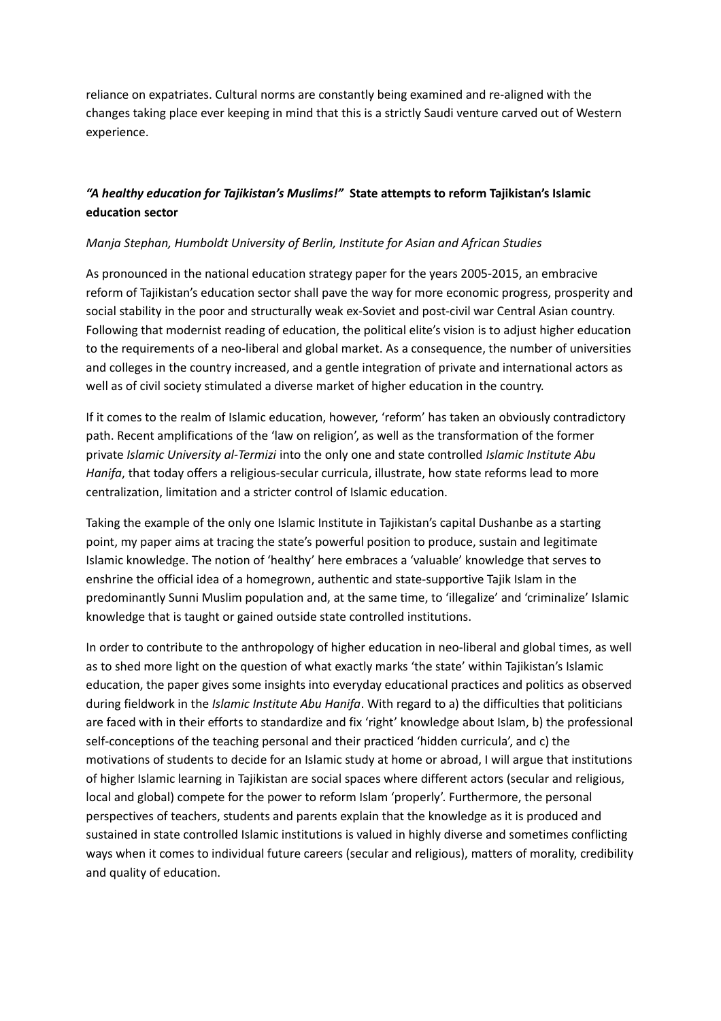reliance on expatriates. Cultural norms are constantly being examined and re‐aligned with the changes taking place ever keeping in mind that this is a strictly Saudi venture carved out of Western experience.

# *"A healthy education for Tajikistan's Muslims!"* **State attempts to reform Tajikistan's Islamic education sector**

# *Manja Stephan, Humboldt University of Berlin, Institute for Asian and African Studies*

As pronounced in the national education strategy paper for the years 2005-2015, an embracive reform of Tajikistan's education sector shall pave the way for more economic progress, prosperity and social stability in the poor and structurally weak ex-Soviet and post-civil war Central Asian country. Following that modernist reading of education, the political elite's vision is to adjust higher education to the requirements of a neo-liberal and global market. As a consequence, the number of universities and colleges in the country increased, and a gentle integration of private and international actors as well as of civil society stimulated a diverse market of higher education in the country.

If it comes to the realm of Islamic education, however, 'reform' has taken an obviously contradictory path. Recent amplifications of the 'law on religion', as well as the transformation of the former private *Islamic University al-Termizi* into the only one and state controlled *Islamic Institute Abu Hanifa*, that today offers a religious-secular curricula, illustrate, how state reforms lead to more centralization, limitation and a stricter control of Islamic education.

Taking the example of the only one Islamic Institute in Tajikistan's capital Dushanbe as a starting point, my paper aims at tracing the state's powerful position to produce, sustain and legitimate Islamic knowledge. The notion of 'healthy' here embraces a 'valuable' knowledge that serves to enshrine the official idea of a homegrown, authentic and state-supportive Tajik Islam in the predominantly Sunni Muslim population and, at the same time, to 'illegalize' and 'criminalize' Islamic knowledge that is taught or gained outside state controlled institutions.

In order to contribute to the anthropology of higher education in neo-liberal and global times, as well as to shed more light on the question of what exactly marks 'the state' within Tajikistan's Islamic education, the paper gives some insights into everyday educational practices and politics as observed during fieldwork in the *Islamic Institute Abu Hanifa*. With regard to a) the difficulties that politicians are faced with in their efforts to standardize and fix 'right' knowledge about Islam, b) the professional self-conceptions of the teaching personal and their practiced 'hidden curricula', and c) the motivations of students to decide for an Islamic study at home or abroad, I will argue that institutions of higher Islamic learning in Tajikistan are social spaces where different actors (secular and religious, local and global) compete for the power to reform Islam 'properly'. Furthermore, the personal perspectives of teachers, students and parents explain that the knowledge as it is produced and sustained in state controlled Islamic institutions is valued in highly diverse and sometimes conflicting ways when it comes to individual future careers (secular and religious), matters of morality, credibility and quality of education.